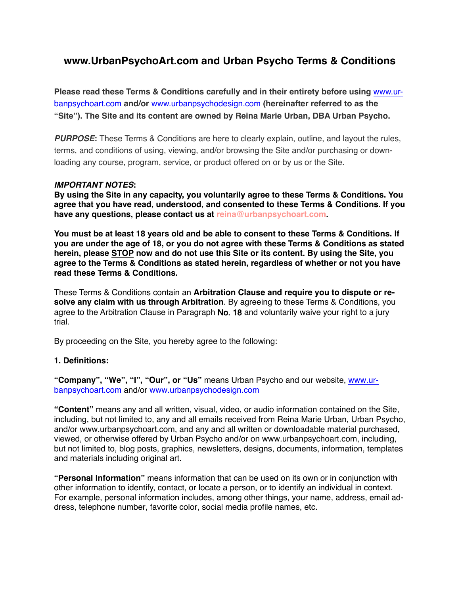# **www.UrbanPsychoArt.com and Urban Psycho Terms & Conditions**

**Please read these Terms & Conditions carefully and in their entirety before using** [www.ur](http://www.urbanpsychoart.com)[banpsychoart.com](http://www.urbanpsychoart.com) **and/or** [www.urbanpsychodesign.com](http://www.urbanpsychodesign.com) **(hereinafter referred to as the "Site"). The Site and its content are owned by Reina Marie Urban, DBA Urban Psycho.**

*PURPOSE***:** These Terms & Conditions are here to clearly explain, outline, and layout the rules, terms, and conditions of using, viewing, and/or browsing the Site and/or purchasing or downloading any course, program, service, or product offered on or by us or the Site.

## *IMPORTANT NOTES***:**

**By using the Site in any capacity, you voluntarily agree to these Terms & Conditions. You agree that you have read, understood, and consented to these Terms & Conditions. If you have any questions, please contact us at reina@urbanpsychoart.com.**

**You must be at least 18 years old and be able to consent to these Terms & Conditions. If you are under the age of 18, or you do not agree with these Terms & Conditions as stated herein, please STOP now and do not use this Site or its content. By using the Site, you agree to the Terms & Conditions as stated herein, regardless of whether or not you have read these Terms & Conditions.**

These Terms & Conditions contain an **Arbitration Clause and require you to dispute or resolve any claim with us through Arbitration**. By agreeing to these Terms & Conditions, you agree to the Arbitration Clause in Paragraph No. 18 and voluntarily waive your right to a jury trial.

By proceeding on the Site, you hereby agree to the following:

## **1. Definitions:**

**"Company", "We", "I", "Our", or "Us"** means Urban Psycho and our website, [www.ur](http://www.urbanpsychoart.com)[banpsychoart.com](http://www.urbanpsychoart.com) and/or [www.urbanpsychodesign.com](http://www.urbanpsychodesign.com)

**"Content"** means any and all written, visual, video, or audio information contained on the Site, including, but not limited to, any and all emails received from Reina Marie Urban, Urban Psycho, and/or www.urbanpsychoart.com, and any and all written or downloadable material purchased, viewed, or otherwise offered by Urban Psycho and/or on [www.urbanpsychoart.com,](http://www.urbanpsychoart.com) including, but not limited to, blog posts, graphics, newsletters, designs, documents, information, templates and materials including original art.

**"Personal Information"** means information that can be used on its own or in conjunction with other information to identify, contact, or locate a person, or to identify an individual in context. For example, personal information includes, among other things, your name, address, email address, telephone number, favorite color, social media profile names, etc.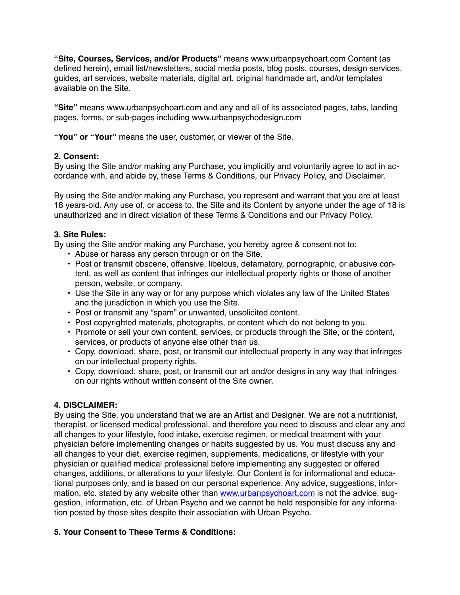**"Site, Courses, Services, and/or Products"** means [www.urbanpsychoart.com](http://www.urbanpsychoart.com) Content (as defined herein), email list/newsletters, social media posts, blog posts, courses, design services, guides, art services, website materials, digital art, original handmade art, and/or templates available on the Site.

**"Site"** means [www.urbanpsychoart.com](http://www.urbanpsychoart.com) and any and all of its associated pages, tabs, landing pages, forms, or sub-pages including www.urbanpsychodesign.com

**"You" or "Your"** means the user, customer, or viewer of the Site.

## **2. Consent:**

By using the Site and/or making any Purchase, you implicitly and voluntarily agree to act in accordance with, and abide by, these Terms & Conditions, our Privacy Policy, and Disclaimer.

By using the Site and/or making any Purchase, you represent and warrant that you are at least 18 years-old. Any use of, or access to, the Site and its Content by anyone under the age of 18 is unauthorized and in direct violation of these Terms & Conditions and our Privacy Policy.

## **3. Site Rules:**

By using the Site and/or making any Purchase, you hereby agree & consent not to:

- Abuse or harass any person through or on the Site.
- Post or transmit obscene, offensive, libelous, defamatory, pornographic, or abusive content, as well as content that infringes our intellectual property rights or those of another person, website, or company.
- Use the Site in any way or for any purpose which violates any law of the United States and the jurisdiction in which you use the Site.
- Post or transmit any "spam" or unwanted, unsolicited content.
- Post copyrighted materials, photographs, or content which do not belong to you.
- Promote or sell your own content, services, or products through the Site, or the content, services, or products of anyone else other than us.
- Copy, download, share, post, or transmit our intellectual property in any way that infringes on our intellectual property rights.
- Copy, download, share, post, or transmit our art and/or designs in any way that infringes on our rights without written consent of the Site owner.

## **4. DISCLAIMER:**

By using the Site, you understand that we are an Artist and Designer. We are not a nutritionist, therapist, or licensed medical professional, and therefore you need to discuss and clear any and all changes to your lifestyle, food intake, exercise regimen, or medical treatment with your physician before implementing changes or habits suggested by us. You must discuss any and all changes to your diet, exercise regimen, supplements, medications, or lifestyle with your physician or qualified medical professional before implementing any suggested or offered changes, additions, or alterations to your lifestyle. Our Content is for informational and educational purposes only, and is based on our personal experience. Any advice, suggestions, information, etc. stated by any website other than [www.urbanpsychoart.com](http://www.urbanpsychoart.com) is not the advice, suggestion, information, etc. of Urban Psycho and we cannot be held responsible for any information posted by those sites despite their association with Urban Psycho.

## **5. Your Consent to These Terms & Conditions:**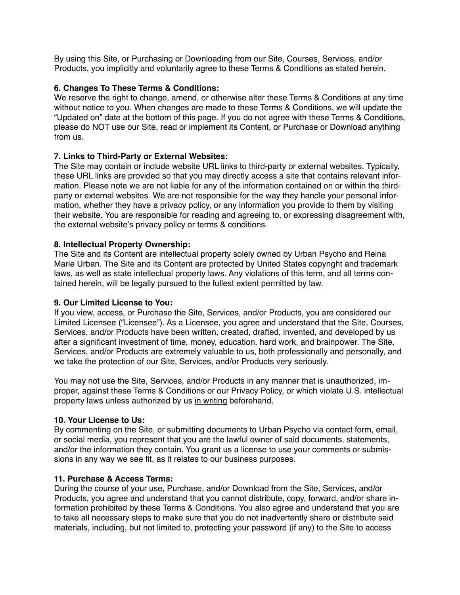By using this Site, or Purchasing or Downloading from our Site, Courses, Services, and/or Products, you implicitly and voluntarily agree to these Terms & Conditions as stated herein.

## **6. Changes To These Terms & Conditions:**

We reserve the right to change, amend, or otherwise alter these Terms & Conditions at any time without notice to you. When changes are made to these Terms & Conditions, we will update the "Updated on" date at the bottom of this page. If you do not agree with these Terms & Conditions, please do NOT use our Site, read or implement its Content, or Purchase or Download anything from us.

# **7. Links to Third-Party or External Websites:**

The Site may contain or include website URL links to third-party or external websites. Typically, these URL links are provided so that you may directly access a site that contains relevant information. Please note we are not liable for any of the information contained on or within the thirdparty or external websites. We are not responsible for the way they handle your personal information, whether they have a privacy policy, or any information you provide to them by visiting their website. You are responsible for reading and agreeing to, or expressing disagreement with, the external website's privacy policy or terms & conditions.

# **8. Intellectual Property Ownership:**

The Site and its Content are intellectual property solely owned by Urban Psycho and Reina Marie Urban. The Site and its Content are protected by United States copyright and trademark laws, as well as state intellectual property laws. Any violations of this term, and all terms contained herein, will be legally pursued to the fullest extent permitted by law.

# **9. Our Limited License to You:**

If you view, access, or Purchase the Site, Services, and/or Products, you are considered our Limited Licensee ("Licensee"). As a Licensee, you agree and understand that the Site, Courses, Services, and/or Products have been written, created, drafted, invented, and developed by us after a significant investment of time, money, education, hard work, and brainpower. The Site, Services, and/or Products are extremely valuable to us, both professionally and personally, and we take the protection of our Site, Services, and/or Products very seriously.

You may not use the Site, Services, and/or Products in any manner that is unauthorized, improper, against these Terms & Conditions or our Privacy Policy, or which violate U.S. intellectual property laws unless authorized by us in writing beforehand.

# **10. Your License to Us:**

By commenting on the Site, or submitting documents to Urban Psycho via contact form, email, or social media, you represent that you are the lawful owner of said documents, statements, and/or the information they contain. You grant us a license to use your comments or submissions in any way we see fit, as it relates to our business purposes.

# **11. Purchase & Access Terms:**

During the course of your use, Purchase, and/or Download from the Site, Services, and/or Products, you agree and understand that you cannot distribute, copy, forward, and/or share information prohibited by these Terms & Conditions. You also agree and understand that you are to take all necessary steps to make sure that you do not inadvertently share or distribute said materials, including, but not limited to, protecting your password (if any) to the Site to access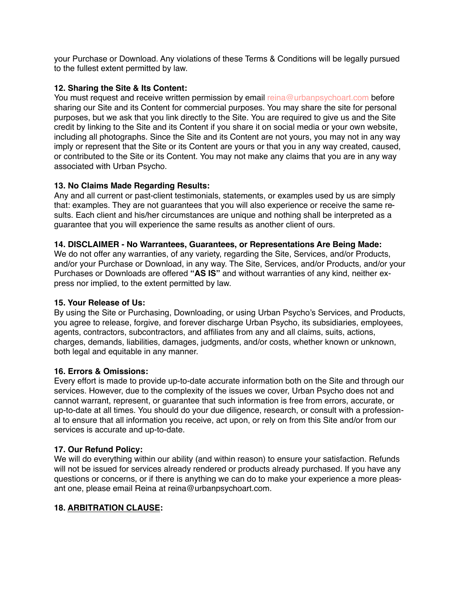your Purchase or Download. Any violations of these Terms & Conditions will be legally pursued to the fullest extent permitted by law.

## **12. Sharing the Site & Its Content:**

You must request and receive written permission by email reina@urbanpsychoart.com before sharing our Site and its Content for commercial purposes. You may share the site for personal purposes, but we ask that you link directly to the Site. You are required to give us and the Site credit by linking to the Site and its Content if you share it on social media or your own website, including all photographs. Since the Site and its Content are not yours, you may not in any way imply or represent that the Site or its Content are yours or that you in any way created, caused, or contributed to the Site or its Content. You may not make any claims that you are in any way associated with Urban Psycho.

## **13. No Claims Made Regarding Results:**

Any and all current or past-client testimonials, statements, or examples used by us are simply that: examples. They are not guarantees that you will also experience or receive the same results. Each client and his/her circumstances are unique and nothing shall be interpreted as a guarantee that you will experience the same results as another client of ours.

## **14. DISCLAIMER - No Warrantees, Guarantees, or Representations Are Being Made:**

We do not offer any warranties, of any variety, regarding the Site, Services, and/or Products, and/or your Purchase or Download, in any way. The Site, Services, and/or Products, and/or your Purchases or Downloads are offered **"AS IS"** and without warranties of any kind, neither express nor implied, to the extent permitted by law.

## **15. Your Release of Us:**

By using the Site or Purchasing, Downloading, or using Urban Psycho's Services, and Products, you agree to release, forgive, and forever discharge Urban Psycho, its subsidiaries, employees, agents, contractors, subcontractors, and affiliates from any and all claims, suits, actions, charges, demands, liabilities, damages, judgments, and/or costs, whether known or unknown, both legal and equitable in any manner.

## **16. Errors & Omissions:**

Every effort is made to provide up-to-date accurate information both on the Site and through our services. However, due to the complexity of the issues we cover, Urban Psycho does not and cannot warrant, represent, or guarantee that such information is free from errors, accurate, or up-to-date at all times. You should do your due diligence, research, or consult with a professional to ensure that all information you receive, act upon, or rely on from this Site and/or from our services is accurate and up-to-date.

## **17. Our Refund Policy:**

We will do everything within our ability (and within reason) to ensure your satisfaction. Refunds will not be issued for services already rendered or products already purchased. If you have any questions or concerns, or if there is anything we can do to make your experience a more pleasant one, please email Reina at reina@urbanpsychoart.com.

# **18. ARBITRATION CLAUSE:**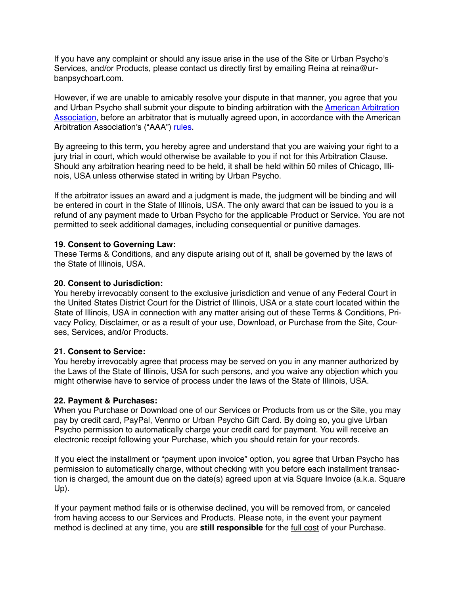If you have any complaint or should any issue arise in the use of the Site or Urban Psycho's Services, and/or Products, please contact us directly first by emailing Reina at reina@urbanpsychoart.com.

However, if we are unable to amicably resolve your dispute in that manner, you agree that you and Urban Psycho shall submit your dispute to binding arbitration with the **American Arbitration** [Association](https://www.adr.org/), before an arbitrator that is mutually agreed upon, in accordance with the American Arbitration Association's ("AAA") [rules](https://www.adr.org/Rules).

By agreeing to this term, you hereby agree and understand that you are waiving your right to a jury trial in court, which would otherwise be available to you if not for this Arbitration Clause. Should any arbitration hearing need to be held, it shall be held within 50 miles of Chicago, Illinois, USA unless otherwise stated in writing by Urban Psycho.

If the arbitrator issues an award and a judgment is made, the judgment will be binding and will be entered in court in the State of Illinois, USA. The only award that can be issued to you is a refund of any payment made to Urban Psycho for the applicable Product or Service. You are not permitted to seek additional damages, including consequential or punitive damages.

#### **19. Consent to Governing Law:**

These Terms & Conditions, and any dispute arising out of it, shall be governed by the laws of the State of Illinois, USA.

#### **20. Consent to Jurisdiction:**

You hereby irrevocably consent to the exclusive jurisdiction and venue of any Federal Court in the United States District Court for the District of Illinois, USA or a state court located within the State of Illinois, USA in connection with any matter arising out of these Terms & Conditions, Privacy Policy, Disclaimer, or as a result of your use, Download, or Purchase from the Site, Courses, Services, and/or Products.

#### **21. Consent to Service:**

You hereby irrevocably agree that process may be served on you in any manner authorized by the Laws of the State of Illinois, USA for such persons, and you waive any objection which you might otherwise have to service of process under the laws of the State of Illinois, USA.

#### **22. Payment & Purchases:**

When you Purchase or Download one of our Services or Products from us or the Site, you may pay by credit card, PayPal, Venmo or Urban Psycho Gift Card. By doing so, you give Urban Psycho permission to automatically charge your credit card for payment. You will receive an electronic receipt following your Purchase, which you should retain for your records.

If you elect the installment or "payment upon invoice" option, you agree that Urban Psycho has permission to automatically charge, without checking with you before each installment transaction is charged, the amount due on the date(s) agreed upon at via Square Invoice (a.k.a. Square Up).

If your payment method fails or is otherwise declined, you will be removed from, or canceled from having access to our Services and Products. Please note, in the event your payment method is declined at any time, you are **still responsible** for the full cost of your Purchase.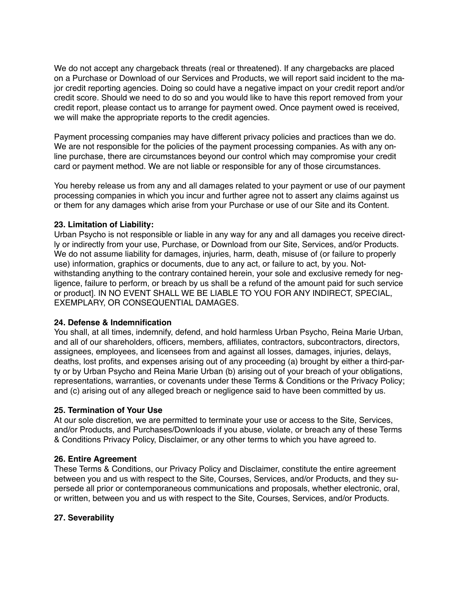We do not accept any chargeback threats (real or threatened). If any chargebacks are placed on a Purchase or Download of our Services and Products, we will report said incident to the major credit reporting agencies. Doing so could have a negative impact on your credit report and/or credit score. Should we need to do so and you would like to have this report removed from your credit report, please contact us to arrange for payment owed. Once payment owed is received, we will make the appropriate reports to the credit agencies.

Payment processing companies may have different privacy policies and practices than we do. We are not responsible for the policies of the payment processing companies. As with any online purchase, there are circumstances beyond our control which may compromise your credit card or payment method. We are not liable or responsible for any of those circumstances.

You hereby release us from any and all damages related to your payment or use of our payment processing companies in which you incur and further agree not to assert any claims against us or them for any damages which arise from your Purchase or use of our Site and its Content.

## **23. Limitation of Liability:**

Urban Psycho is not responsible or liable in any way for any and all damages you receive directly or indirectly from your use, Purchase, or Download from our Site, Services, and/or Products. We do not assume liability for damages, injuries, harm, death, misuse of (or failure to properly use) information, graphics or documents, due to any act, or failure to act, by you. Notwithstanding anything to the contrary contained herein, your sole and exclusive remedy for negligence, failure to perform, or breach by us shall be a refund of the amount paid for such service or product]. IN NO EVENT SHALL WE BE LIABLE TO YOU FOR ANY INDIRECT, SPECIAL, EXEMPLARY, OR CONSEQUENTIAL DAMAGES.

## **24. Defense & Indemnification**

You shall, at all times, indemnify, defend, and hold harmless Urban Psycho, Reina Marie Urban, and all of our shareholders, officers, members, affiliates, contractors, subcontractors, directors, assignees, employees, and licensees from and against all losses, damages, injuries, delays, deaths, lost profits, and expenses arising out of any proceeding (a) brought by either a third-party or by Urban Psycho and Reina Marie Urban (b) arising out of your breach of your obligations, representations, warranties, or covenants under these Terms & Conditions or the Privacy Policy; and (c) arising out of any alleged breach or negligence said to have been committed by us.

## **25. Termination of Your Use**

At our sole discretion, we are permitted to terminate your use or access to the Site, Services, and/or Products, and Purchases/Downloads if you abuse, violate, or breach any of these Terms & Conditions Privacy Policy, Disclaimer, or any other terms to which you have agreed to.

## **26. Entire Agreement**

These Terms & Conditions, our Privacy Policy and Disclaimer, constitute the entire agreement between you and us with respect to the Site, Courses, Services, and/or Products, and they supersede all prior or contemporaneous communications and proposals, whether electronic, oral, or written, between you and us with respect to the Site, Courses, Services, and/or Products.

# **27. Severability**